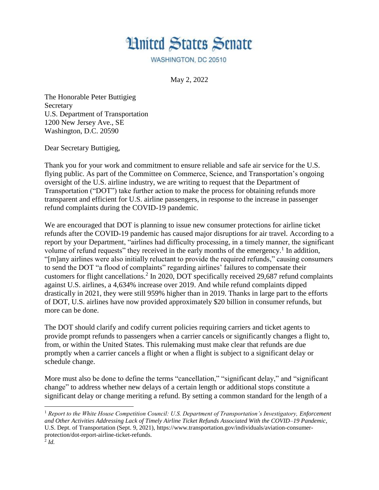

WASHINGTON, DC 20510

May 2, 2022

The Honorable Peter Buttigieg Secretary U.S. Department of Transportation 1200 New Jersey Ave., SE Washington, D.C. 20590

Dear Secretary Buttigieg,

Thank you for your work and commitment to ensure reliable and safe air service for the U.S. flying public. As part of the Committee on Commerce, Science, and Transportation's ongoing oversight of the U.S. airline industry, we are writing to request that the Department of Transportation ("DOT") take further action to make the process for obtaining refunds more transparent and efficient for U.S. airline passengers, in response to the increase in passenger refund complaints during the COVID-19 pandemic.

We are encouraged that DOT is planning to issue new consumer protections for airline ticket refunds after the COVID-19 pandemic has caused major disruptions for air travel. According to a report by your Department, "airlines had difficulty processing, in a timely manner, the significant volume of refund requests" they received in the early months of the emergency.<sup>1</sup> In addition, "[m]any airlines were also initially reluctant to provide the required refunds," causing consumers to send the DOT "a flood of complaints" regarding airlines' failures to compensate their customers for flight cancellations.<sup>2</sup> In 2020, DOT specifically received 29,687 refund complaints against U.S. airlines, a 4,634% increase over 2019. And while refund complaints dipped drastically in 2021, they were still 959% higher than in 2019. Thanks in large part to the efforts of DOT, U.S. airlines have now provided approximately \$20 billion in consumer refunds, but more can be done.

The DOT should clarify and codify current policies requiring carriers and ticket agents to provide prompt refunds to passengers when a carrier cancels or significantly changes a flight to, from, or within the United States. This rulemaking must make clear that refunds are due promptly when a carrier cancels a flight or when a flight is subject to a significant delay or schedule change.

More must also be done to define the terms "cancellation," "significant delay," and "significant change" to address whether new delays of a certain length or additional stops constitute a significant delay or change meriting a refund. By setting a common standard for the length of a

l

<sup>1</sup> *Report to the White House Competition Council: U.S. Department of Transportation's Investigatory, Enforcement and Other Activities Addressing Lack of Timely Airline Ticket Refunds Associated With the COVID–19 Pandemic*, U.S. Dept. of Transportation (Sept. 9, 2021), https://www.transportation.gov/individuals/aviation-consumerprotection/dot-report-airline-ticket-refunds. 2 *Id.*